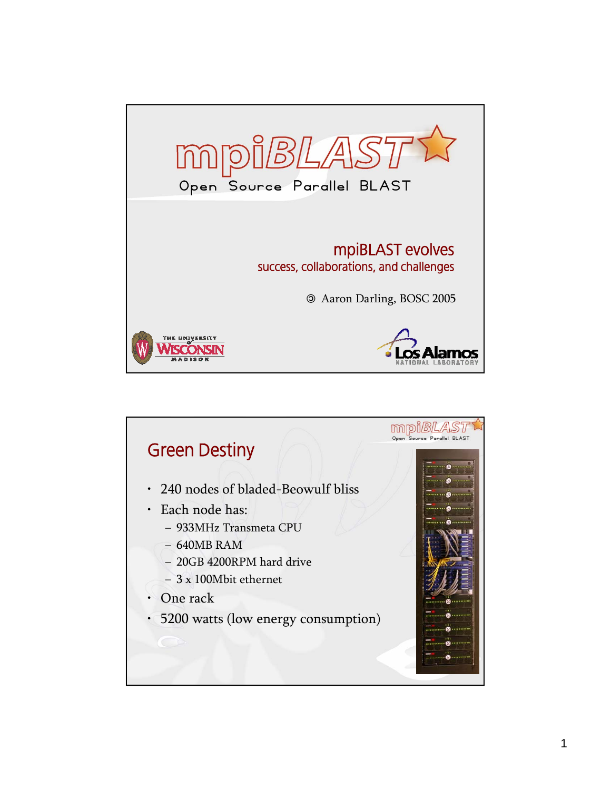

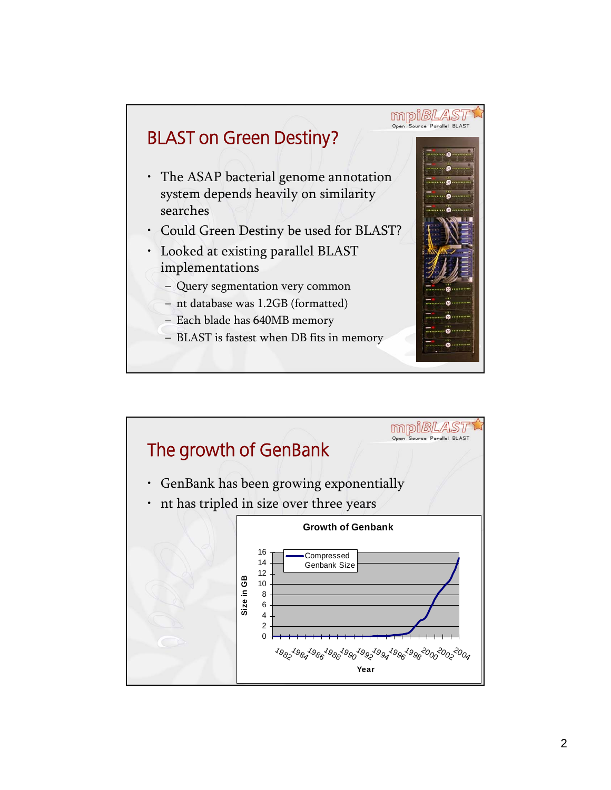

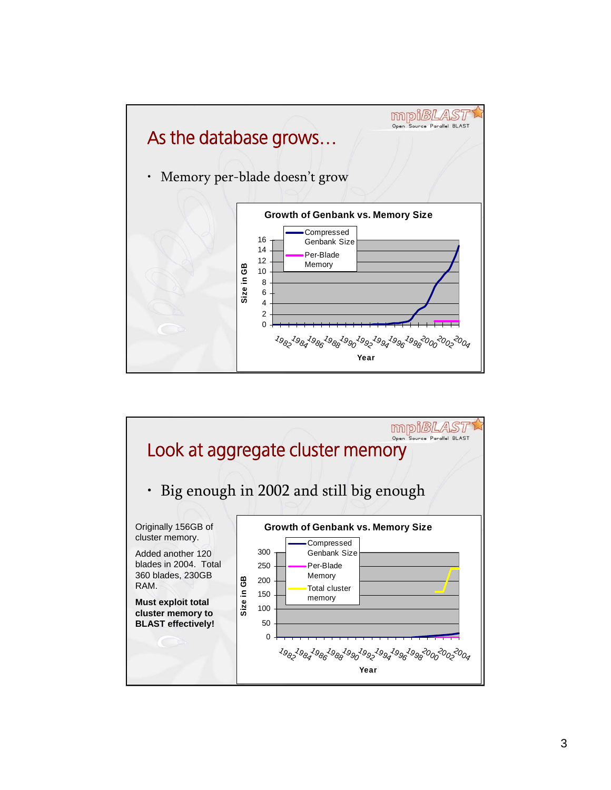

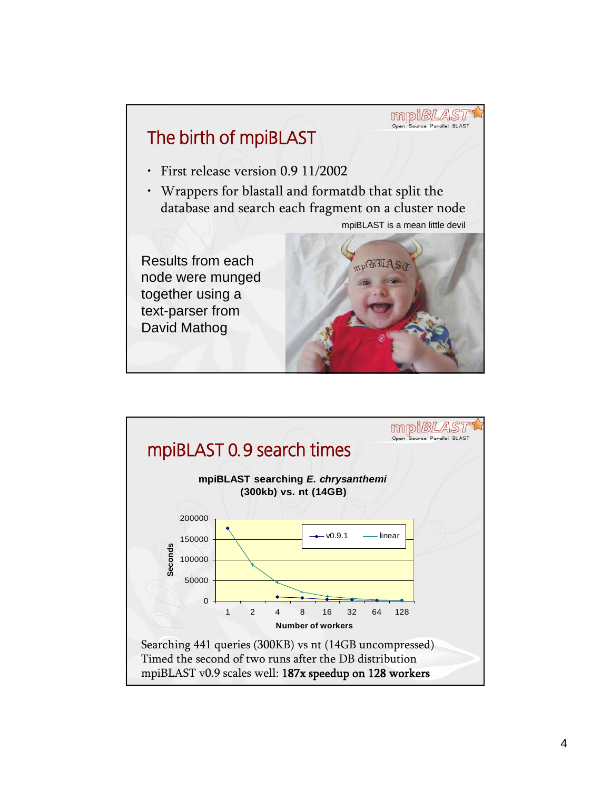

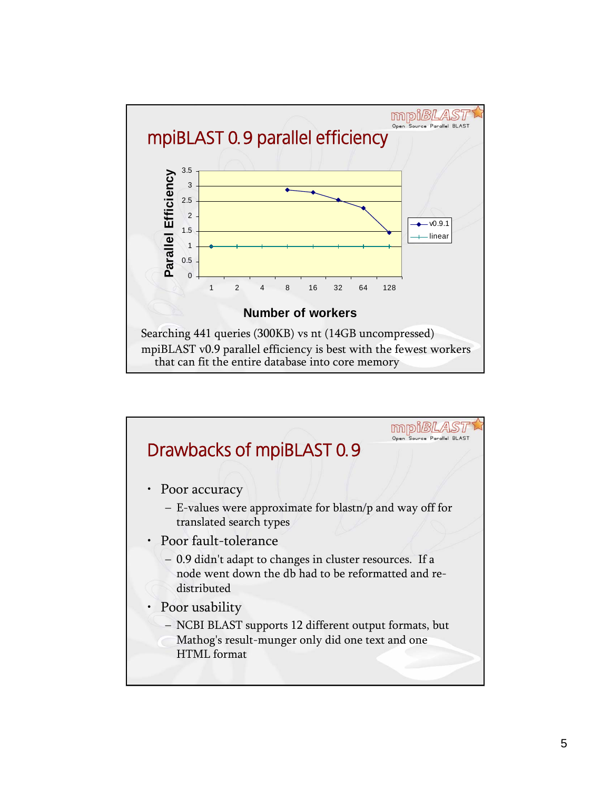

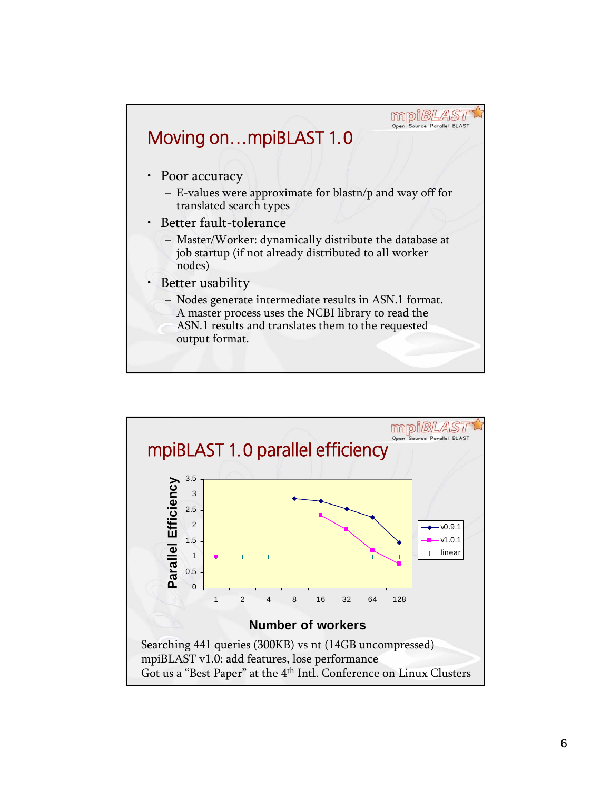

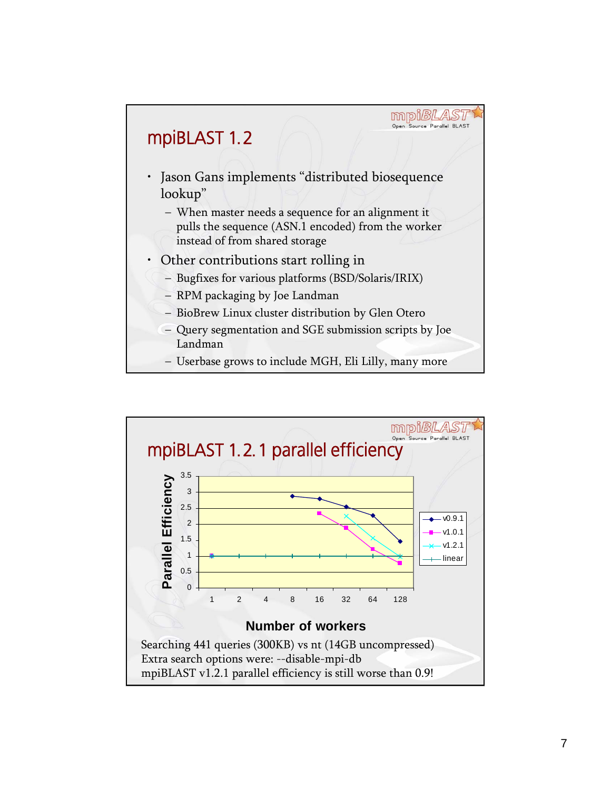

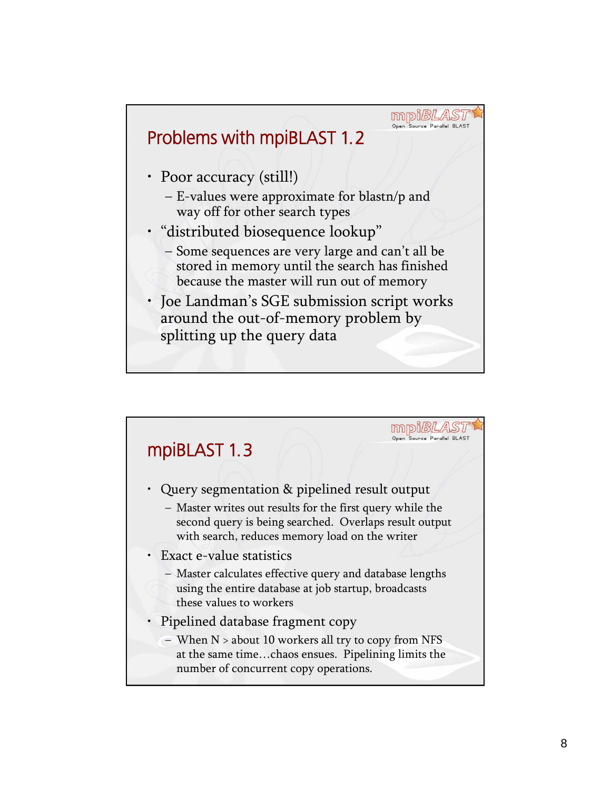

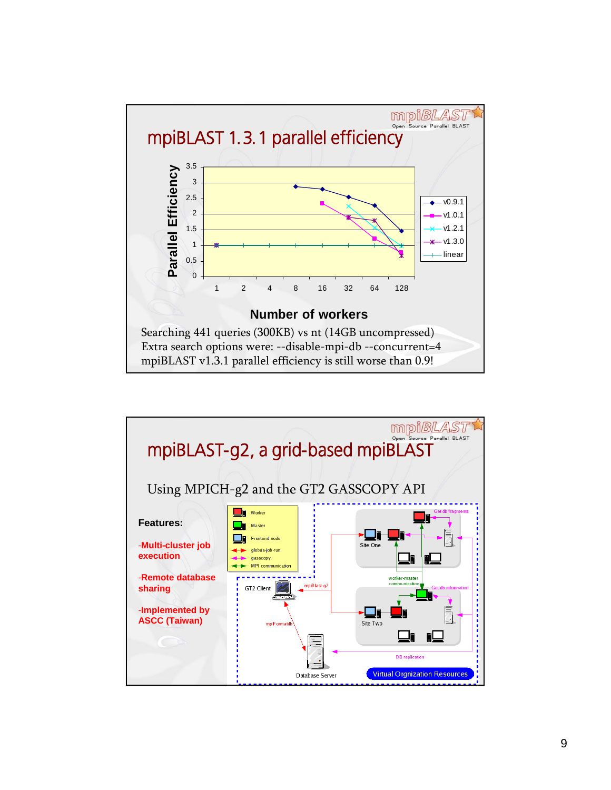

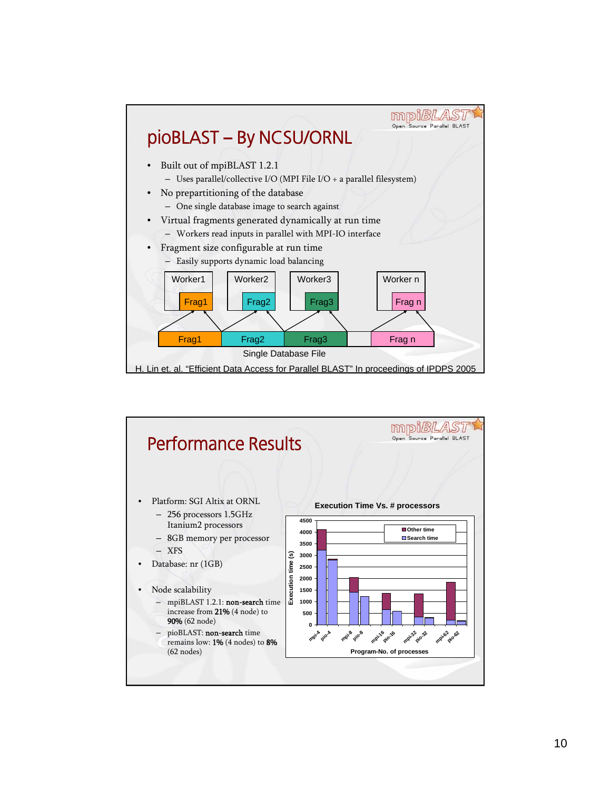

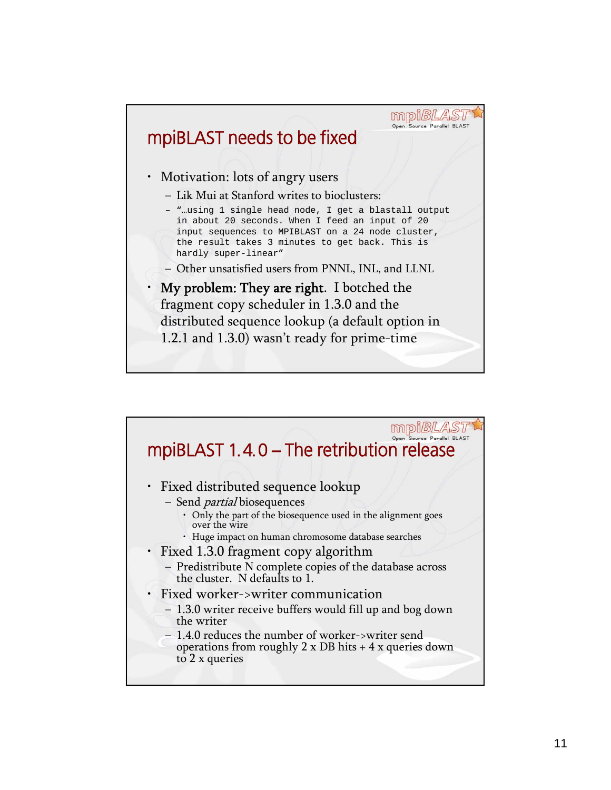